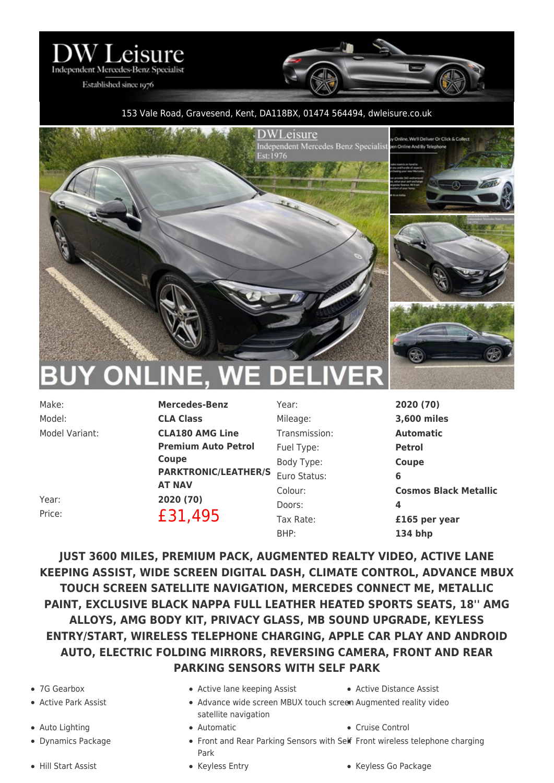

Established since 1976

## 153 Vale Road, Gravesend, Kent, DA118BX, 01474 564494, [dwleisure.co.uk](https://www.dwleisure.co.uk)



Model: **CLA Class**

Make: **Mercedes-Benz** Model Variant: **CLA180 AMG Line Premium Auto Petrol Coupe PARKTRONIC/LEATHER/S** Euro Status: **6 AT NAV**

Year: **2020 (70)** Mileage: **3,600 miles** Transmission: **Automatic** Fuel Type: **Petrol** Body Type: **Coupe** Doors: **4**

Colour: **Cosmos Black Metallic** Tax Rate: **£165 per year**

Year: **2020 (70)** Price: **£31,495** BHP: **134 bhp**

**JUST 3600 MILES, PREMIUM PACK, AUGMENTED REALTY VIDEO, ACTIVE LANE KEEPING ASSIST, WIDE SCREEN DIGITAL DASH, CLIMATE CONTROL, ADVANCE MBUX TOUCH SCREEN SATELLITE NAVIGATION, MERCEDES CONNECT ME, METALLIC PAINT, EXCLUSIVE BLACK NAPPA FULL LEATHER HEATED SPORTS SEATS, 18'' AMG ALLOYS, AMG BODY KIT, PRIVACY GLASS, MB SOUND UPGRADE, KEYLESS ENTRY/START, WIRELESS TELEPHONE CHARGING, APPLE CAR PLAY AND ANDROID AUTO, ELECTRIC FOLDING MIRRORS, REVERSING CAMERA, FRONT AND REAR PARKING SENSORS WITH SELF PARK**

- 
- 
- 
- 
- 7G Gearbox Active lane keeping Assist Active Distance Assist
	-
	- Active Park Assist Advance wide screen MBUX touch screen Augmented reality video satellite navigation
		-
- Auto Lighting  $\bullet$  Automatic  $\bullet$  Cruise Control
	- Dynamics Package **Front and Rear Parking Sensors with Self** Front wireless telephone charging Park
		-
- Hill Start Assist Keyless Entry Keyless Go Package